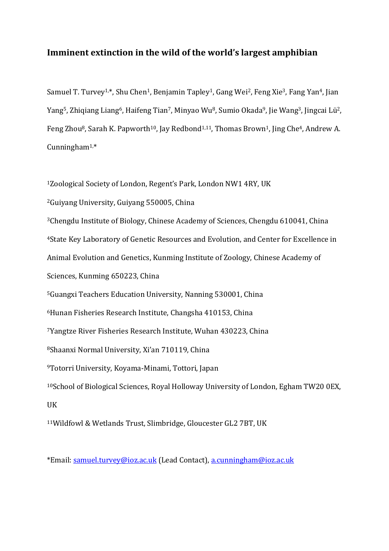## **Imminent extinction in the wild of the world's largest amphibian**

Samuel T. Turvey<sup>1,\*</sup>, Shu Chen<sup>1</sup>, Benjamin Tapley<sup>1</sup>, Gang Wei<sup>2</sup>, Feng Xie<sup>3</sup>, Fang Yan<sup>4</sup>, Jian Yang<sup>5</sup>, Zhiqiang Liang<sup>6</sup>, Haifeng Tian<sup>7</sup>, Minyao Wu<sup>8</sup>, Sumio Okada<sup>9</sup>, Jie Wang<sup>3</sup>, Jingcai Lü<sup>2</sup>, Feng Zhou<sup>8</sup>, Sarah K. Papworth<sup>10</sup>, Jay Redbond<sup>1,11</sup>, Thomas Brown<sup>1</sup>, Jing Che<sup>4</sup>, Andrew A. Cunningham<sup>1,\*</sup>

<sup>1</sup>Zoological Society of London, Regent's Park, London NW1 4RY, UK

<sup>2</sup>Guiyang University, Guiyang 550005, China

<sup>3</sup>Chengdu Institute of Biology, Chinese Academy of Sciences, Chengdu 610041, China

<sup>4</sup>State Key Laboratory of Genetic Resources and Evolution, and Center for Excellence in

Animal Evolution and Genetics, Kunming Institute of Zoology, Chinese Academy of

Sciences, Kunming 650223, China

<sup>5</sup>Guangxi Teachers Education University, Nanning 530001, China

<sup>6</sup>Hunan Fisheries Research Institute, Changsha 410153, China

<sup>7</sup>Yangtze River Fisheries Research Institute, Wuhan 430223, China

<sup>8</sup>Shaanxi Normal University, Xi'an 710119, China

<sup>9</sup>Totorri University, Koyama-Minami, Tottori, Japan

<sup>10</sup>School of Biological Sciences, Royal Holloway University of London, Egham TW20 0EX, UK

<sup>11</sup>Wildfowl & Wetlands Trust, Slimbridge, Gloucester GL2 7BT, UK

\*Email: [samuel.turvey@ioz.ac.uk](mailto:samuel.turvey@ioz.ac.uk) (Lead Contact), [a.cunningham@ioz.ac.uk](mailto:a.cunningham@ioz.ac.uk)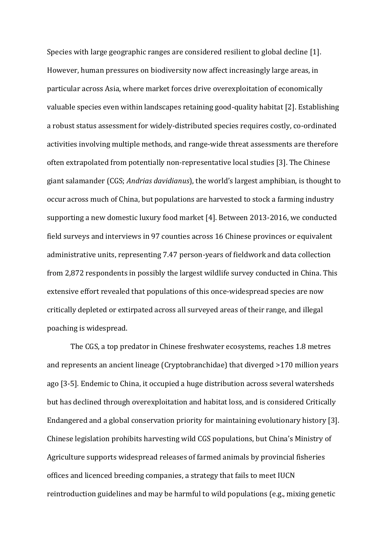Species with large geographic ranges are considered resilient to global decline [1]. However, human pressures on biodiversity now affect increasingly large areas, in particular across Asia, where market forces drive overexploitation of economically valuable species even within landscapes retaining good-quality habitat [2]. Establishing a robust status assessment for widely-distributed species requires costly, co-ordinated activities involving multiple methods, and range-wide threat assessments are therefore often extrapolated from potentially non-representative local studies [3]. The Chinese giant salamander (CGS; *Andrias davidianus*), the world's largest amphibian, is thought to occur across much of China, but populations are harvested to stock a farming industry supporting a new domestic luxury food market [4]. Between 2013-2016, we conducted field surveys and interviews in 97 counties across 16 Chinese provinces or equivalent administrative units, representing 7.47 person-years of fieldwork and data collection from 2,872 respondents in possibly the largest wildlife survey conducted in China. This extensive effort revealed that populations of this once-widespread species are now critically depleted or extirpated across all surveyed areas of their range, and illegal poaching is widespread.

The CGS, a top predator in Chinese freshwater ecosystems, reaches 1.8 metres and represents an ancient lineage (Cryptobranchidae) that diverged >170 million years ago [3-5]. Endemic to China, it occupied a huge distribution across several watersheds but has declined through overexploitation and habitat loss, and is considered Critically Endangered and a global conservation priority for maintaining evolutionary history [3]. Chinese legislation prohibits harvesting wild CGS populations, but China's Ministry of Agriculture supports widespread releases of farmed animals by provincial fisheries offices and licenced breeding companies, a strategy that fails to meet IUCN reintroduction guidelines and may be harmful to wild populations (e.g., mixing genetic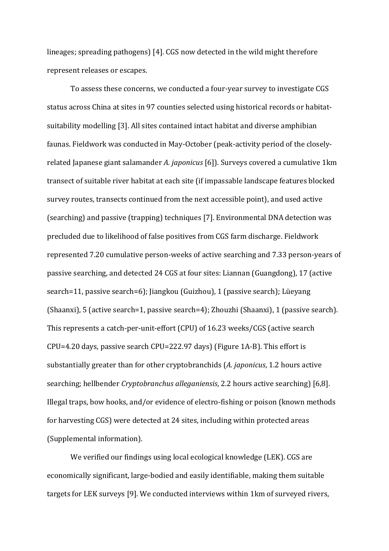lineages; spreading pathogens) [4]. CGS now detected in the wild might therefore represent releases or escapes.

To assess these concerns, we conducted a four-year survey to investigate CGS status across China at sites in 97 counties selected using historical records or habitatsuitability modelling [3]. All sites contained intact habitat and diverse amphibian faunas. Fieldwork was conducted in May-October (peak-activity period of the closelyrelated Japanese giant salamander *A. japonicus* [6]). Surveys covered a cumulative 1km transect of suitable river habitat at each site (if impassable landscape features blocked survey routes, transects continued from the next accessible point), and used active (searching) and passive (trapping) techniques [7]. Environmental DNA detection was precluded due to likelihood of false positives from CGS farm discharge. Fieldwork represented 7.20 cumulative person-weeks of active searching and 7.33 person-years of passive searching, and detected 24 CGS at four sites: Liannan (Guangdong), 17 (active search=11, passive search=6); Jiangkou (Guizhou), 1 (passive search); Lüeyang (Shaanxi), 5 (active search=1, passive search=4); Zhouzhi (Shaanxi), 1 (passive search). This represents a catch-per-unit-effort (CPU) of 16.23 weeks/CGS (active search CPU=4.20 days, passive search CPU=222.97 days) (Figure 1A-B). This effort is substantially greater than for other cryptobranchids (*A. japonicus*, 1.2 hours active searching; hellbender *Cryptobranchus alleganiensis*, 2.2 hours active searching) [6,8]. Illegal traps, bow hooks, and/or evidence of electro-fishing or poison (known methods for harvesting CGS) were detected at 24 sites, including within protected areas (Supplemental information).

We verified our findings using local ecological knowledge (LEK). CGS are economically significant, large-bodied and easily identifiable, making them suitable targets for LEK surveys [9]. We conducted interviews within 1km of surveyed rivers,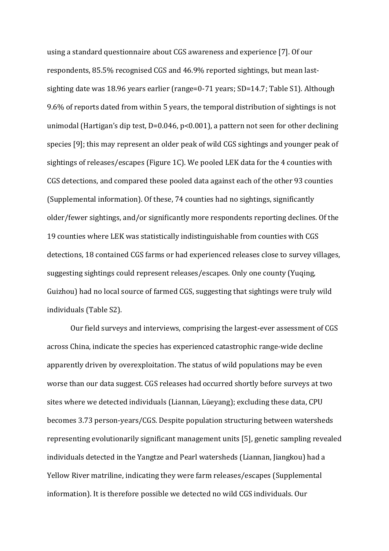using a standard questionnaire about CGS awareness and experience [7]. Of our respondents, 85.5% recognised CGS and 46.9% reported sightings, but mean lastsighting date was 18.96 years earlier (range=0-71 years; SD=14.7; Table S1). Although 9.6% of reports dated from within 5 years, the temporal distribution of sightings is not unimodal (Hartigan's dip test, D=0.046, p<0.001), a pattern not seen for other declining species [9]; this may represent an older peak of wild CGS sightings and younger peak of sightings of releases/escapes (Figure 1C). We pooled LEK data for the 4 counties with CGS detections, and compared these pooled data against each of the other 93 counties (Supplemental information). Of these, 74 counties had no sightings, significantly older/fewer sightings, and/or significantly more respondents reporting declines. Of the 19 counties where LEK was statistically indistinguishable from counties with CGS detections, 18 contained CGS farms or had experienced releases close to survey villages, suggesting sightings could represent releases/escapes. Only one county (Yuqing, Guizhou) had no local source of farmed CGS, suggesting that sightings were truly wild individuals (Table S2).

Our field surveys and interviews, comprising the largest-ever assessment of CGS across China, indicate the species has experienced catastrophic range-wide decline apparently driven by overexploitation. The status of wild populations may be even worse than our data suggest. CGS releases had occurred shortly before surveys at two sites where we detected individuals (Liannan, Lüeyang); excluding these data, CPU becomes 3.73 person-years/CGS. Despite population structuring between watersheds representing evolutionarily significant management units [5], genetic sampling revealed individuals detected in the Yangtze and Pearl watersheds (Liannan, Jiangkou) had a Yellow River matriline, indicating they were farm releases/escapes (Supplemental information). It is therefore possible we detected no wild CGS individuals. Our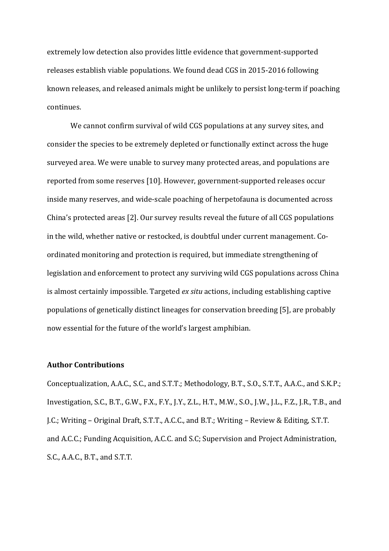extremely low detection also provides little evidence that government-supported releases establish viable populations. We found dead CGS in 2015-2016 following known releases, and released animals might be unlikely to persist long-term if poaching continues.

We cannot confirm survival of wild CGS populations at any survey sites, and consider the species to be extremely depleted or functionally extinct across the huge surveyed area. We were unable to survey many protected areas, and populations are reported from some reserves [10]. However, government-supported releases occur inside many reserves, and wide-scale poaching of herpetofauna is documented across China's protected areas [2]. Our survey results reveal the future of all CGS populations in the wild, whether native or restocked, is doubtful under current management. Coordinated monitoring and protection is required, but immediate strengthening of legislation and enforcement to protect any surviving wild CGS populations across China is almost certainly impossible. Targeted *ex situ* actions, including establishing captive populations of genetically distinct lineages for conservation breeding [5], are probably now essential for the future of the world's largest amphibian.

## **Author Contributions**

Conceptualization, A.A.C., S.C., and S.T.T.; Methodology, B.T., S.O., S.T.T., A.A.C., and S.K.P.; Investigation, S.C., B.T., G.W., F.X., F.Y., J.Y., Z.L., H.T., M.W., S.O., J.W., J.L., F.Z., J.R., T.B., and J.C.; Writing – Original Draft, S.T.T., A.C.C., and B.T.; Writing – Review & Editing, S.T.T. and A.C.C.; Funding Acquisition, A.C.C. and S.C; Supervision and Project Administration, S.C., A.A.C., B.T., and S.T.T.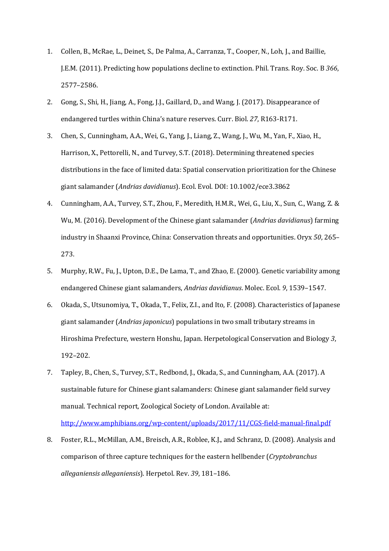- 1. Collen, B., McRae, L., Deinet, S., De Palma, A., Carranza, T., Cooper, N., Loh, J., and Baillie, J.E.M. (2011). Predicting how populations decline to extinction. Phil. Trans. Roy. Soc. B *366*, 2577–2586.
- 2. Gong, S., Shi, H., Jiang, A., Fong, J.J., Gaillard, D., and Wang, J. (2017). Disappearance of endangered turtles within China's nature reserves. Curr. Biol. *27*, R163-R171.
- 3. Chen, S., Cunningham, A.A., Wei, G., Yang, J., Liang, Z., Wang, J., Wu, M., Yan, F., Xiao, H., Harrison, X., Pettorelli, N., and Turvey, S.T. (2018). Determining threatened species distributions in the face of limited data: Spatial conservation prioritization for the Chinese giant salamander (*Andrias davidianus*). Ecol. Evol. DOI: 10.1002/ece3.3862
- 4. Cunningham, A.A., Turvey, S.T., Zhou, F., Meredith, H.M.R., Wei, G., Liu, X., Sun, C., Wang, Z. & Wu, M. (2016). Development of the Chinese giant salamander (*Andrias davidianus*) farming industry in Shaanxi Province, China: Conservation threats and opportunities. Oryx *50*, 265– 273.
- 5. Murphy, R.W., Fu, J., Upton, D.E., De Lama, T., and Zhao, E. (2000). Genetic variability among endangered Chinese giant salamanders, *Andrias davidianus*. Molec. Ecol. *9*, 1539–1547.
- 6. Okada, S., Utsunomiya, T., Okada, T., Felix, Z.I., and Ito, F. (2008). Characteristics of Japanese giant salamander (*Andrias japonicus*) populations in two small tributary streams in Hiroshima Prefecture, western Honshu, Japan. Herpetological Conservation and Biology *3*, 192–202.
- 7. Tapley, B., Chen, S., Turvey, S.T., Redbond, J., Okada, S., and Cunningham, A.A. (2017). A sustainable future for Chinese giant salamanders: Chinese giant salamander field survey manual. Technical report, Zoological Society of London. Available at: <http://www.amphibians.org/wp-content/uploads/2017/11/CGS-field-manual-final.pdf>
- 8. Foster, R.L., McMillan, A.M., Breisch, A.R., Roblee, K.J., and Schranz, D. (2008). Analysis and comparison of three capture techniques for the eastern hellbender (*Cryptobranchus alleganiensis alleganiensis*). Herpetol. Rev. *39*, 181–186.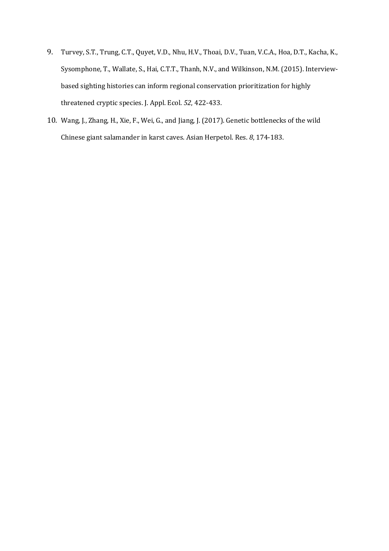- 9. Turvey, S.T., Trung, C.T., Quyet, V.D., Nhu, H.V., Thoai, D.V., Tuan, V.C.A., Hoa, D.T., Kacha, K., Sysomphone, T., Wallate, S., Hai, C.T.T., Thanh, N.V., and Wilkinson, N.M. (2015). Interviewbased sighting histories can inform regional conservation prioritization for highly threatened cryptic species. J. Appl. Ecol. *52*, 422-433.
- 10. Wang, J., Zhang, H., Xie, F., Wei, G., and Jiang, J. (2017). Genetic bottlenecks of the wild Chinese giant salamander in karst caves. Asian Herpetol. Res. *8*, 174-183.